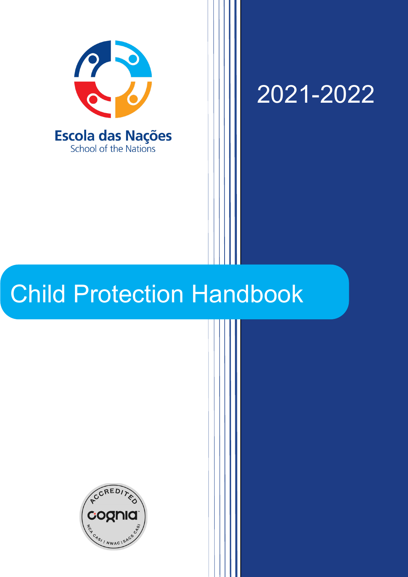

2021-2022

# Child Protection Handbook

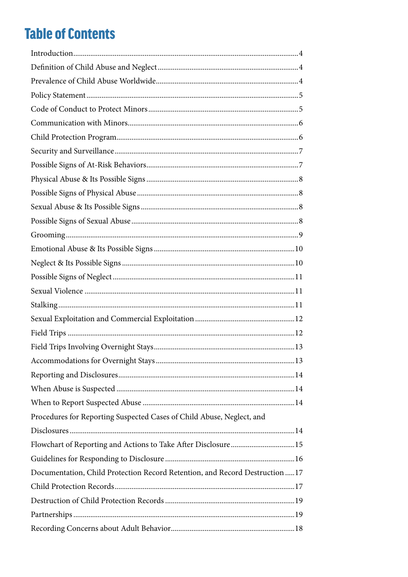### **Table of Contents**

| Procedures for Reporting Suspected Cases of Child Abuse, Neglect, and        |
|------------------------------------------------------------------------------|
|                                                                              |
| Flowchart of Reporting and Actions to Take After Disclosure15                |
|                                                                              |
| Documentation, Child Protection Record Retention, and Record Destruction  17 |
|                                                                              |
|                                                                              |
|                                                                              |
|                                                                              |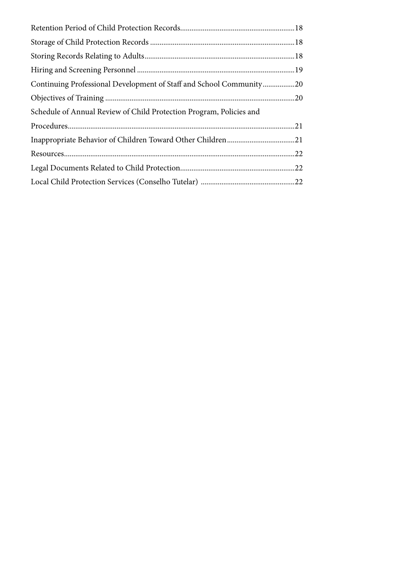| Continuing Professional Development of Staff and School Community20 |  |
|---------------------------------------------------------------------|--|
|                                                                     |  |
| Schedule of Annual Review of Child Protection Program, Policies and |  |
|                                                                     |  |
|                                                                     |  |
|                                                                     |  |
|                                                                     |  |
|                                                                     |  |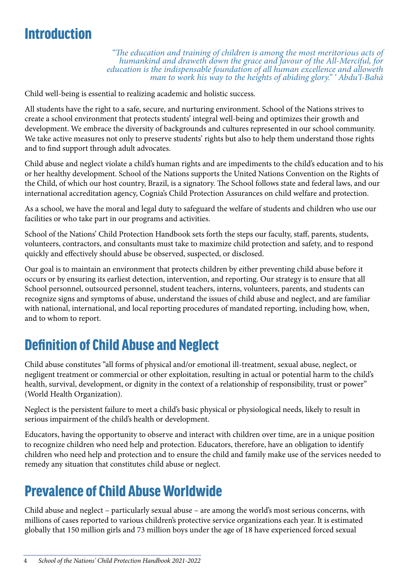### <span id="page-3-0"></span>**Introduction**

*"The education and training of children is among the most meritorious acts of*  humankind and draweth down the grace and favour of the All-Merciful, for<br>education is the indispensable foundation of all human excellence and alloweth<br>man to work his way to the heights of abiding glory." Abdu'l-Bahá

Child well-being is essential to realizing academic and holistic success.

All students have the right to a safe, secure, and nurturing environment. School of the Nations strives to create a school environment that protects students' integral well-being and optimizes their growth and development. We embrace the diversity of backgrounds and cultures represented in our school community. We take active measures not only to preserve students' rights but also to help them understand those rights and to find support through adult advocates.

Child abuse and neglect violate a child's human rights and are impediments to the child's education and to his or her healthy development. School of the Nations supports the United Nations Convention on the Rights of the Child, of which our host country, Brazil, is a signatory. The School follows state and federal laws, and our international accreditation agency, Cognia's Child Protection Assurances on child welfare and protection.

As a school, we have the moral and legal duty to safeguard the welfare of students and children who use our facilities or who take part in our programs and activities.

School of the Nations' Child Protection Handbook sets forth the steps our faculty, staff, parents, students, volunteers, contractors, and consultants must take to maximize child protection and safety, and to respond quickly and effectively should abuse be observed, suspected, or disclosed.

Our goal is to maintain an environment that protects children by either preventing child abuse before it occurs or by ensuring its earliest detection, intervention, and reporting. Our strategy is to ensure that all School personnel, outsourced personnel, student teachers, interns, volunteers, parents, and students can recognize signs and symptoms of abuse, understand the issues of child abuse and neglect, and are familiar with national, international, and local reporting procedures of mandated reporting, including how, when, and to whom to report.

### Definition of Child Abuse and Neglect

Child abuse constitutes "all forms of physical and/or emotional ill-treatment, sexual abuse, neglect, or negligent treatment or commercial or other exploitation, resulting in actual or potential harm to the child's health, survival, development, or dignity in the context of a relationship of responsibility, trust or power" (World Health Organization).

Neglect is the persistent failure to meet a child's basic physical or physiological needs, likely to result in serious impairment of the child's health or development.

Educators, having the opportunity to observe and interact with children over time, are in a unique position to recognize children who need help and protection. Educators, therefore, have an obligation to identify children who need help and protection and to ensure the child and family make use of the services needed to remedy any situation that constitutes child abuse or neglect.

### Prevalence of Child Abuse Worldwide

Child abuse and neglect – particularly sexual abuse – are among the world's most serious concerns, with millions of cases reported to various children's protective service organizations each year. It is estimated globally that 150 million girls and 73 million boys under the age of 18 have experienced forced sexual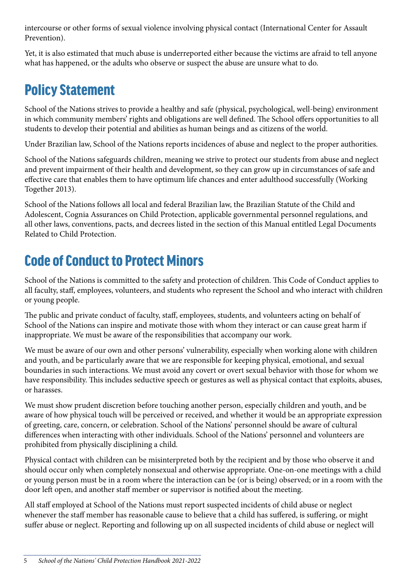<span id="page-4-0"></span>intercourse or other forms of sexual violence involving physical contact (International Center for Assault Prevention).

Yet, it is also estimated that much abuse is underreported either because the victims are afraid to tell anyone what has happened, or the adults who observe or suspect the abuse are unsure what to do.

# Policy Statement

School of the Nations strives to provide a healthy and safe (physical, psychological, well-being) environment in which community members' rights and obligations are well defined. The School offers opportunities to all students to develop their potential and abilities as human beings and as citizens of the world.

Under Brazilian law, School of the Nations reports incidences of abuse and neglect to the proper authorities.

School of the Nations safeguards children, meaning we strive to protect our students from abuse and neglect and prevent impairment of their health and development, so they can grow up in circumstances of safe and effective care that enables them to have optimum life chances and enter adulthood successfully (Working Together 2013).

School of the Nations follows all local and federal Brazilian law, the Brazilian Statute of the Child and Adolescent, Cognia Assurances on Child Protection, applicable governmental personnel regulations, and all other laws, conventions, pacts, and decrees listed in the section of this Manual entitled Legal Documents Related to Child Protection.

# Code of Conduct to Protect Minors

School of the Nations is committed to the safety and protection of children. This Code of Conduct applies to all faculty, staff, employees, volunteers, and students who represent the School and who interact with children or young people.

The public and private conduct of faculty, staff, employees, students, and volunteers acting on behalf of School of the Nations can inspire and motivate those with whom they interact or can cause great harm if inappropriate. We must be aware of the responsibilities that accompany our work.

We must be aware of our own and other persons' vulnerability, especially when working alone with children and youth, and be particularly aware that we are responsible for keeping physical, emotional, and sexual boundaries in such interactions. We must avoid any covert or overt sexual behavior with those for whom we have responsibility. This includes seductive speech or gestures as well as physical contact that exploits, abuses, or harasses.

We must show prudent discretion before touching another person, especially children and youth, and be aware of how physical touch will be perceived or received, and whether it would be an appropriate expression of greeting, care, concern, or celebration. School of the Nations' personnel should be aware of cultural differences when interacting with other individuals. School of the Nations' personnel and volunteers are prohibited from physically disciplining a child.

Physical contact with children can be misinterpreted both by the recipient and by those who observe it and should occur only when completely nonsexual and otherwise appropriate. One-on-one meetings with a child or young person must be in a room where the interaction can be (or is being) observed; or in a room with the door left open, and another staff member or supervisor is notified about the meeting.

All staff employed at School of the Nations must report suspected incidents of child abuse or neglect whenever the staff member has reasonable cause to believe that a child has suffered, is suffering, or might suffer abuse or neglect. Reporting and following up on all suspected incidents of child abuse or neglect will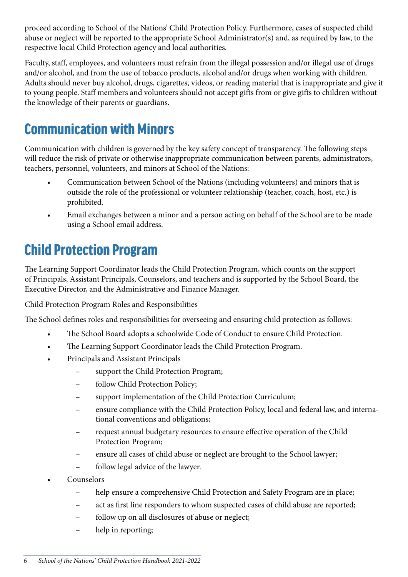<span id="page-5-0"></span>proceed according to School of the Nations' Child Protection Policy. Furthermore, cases of suspected child abuse or neglect will be reported to the appropriate School Administrator(s) and, as required by law, to the respective local Child Protection agency and local authorities.

Faculty, staff, employees, and volunteers must refrain from the illegal possession and/or illegal use of drugs and/or alcohol, and from the use of tobacco products, alcohol and/or drugs when working with children. Adults should never buy alcohol, drugs, cigarettes, videos, or reading material that is inappropriate and give it to young people. Staff members and volunteers should not accept gifts from or give gifts to children without the knowledge of their parents or guardians.

### Communication with Minors

Communication with children is governed by the key safety concept of transparency. The following steps will reduce the risk of private or otherwise inappropriate communication between parents, administrators, teachers, personnel, volunteers, and minors at School of the Nations:

- Communication between School of the Nations (including volunteers) and minors that is outside the role of the professional or volunteer relationship (teacher, coach, host, etc.) is prohibited.
- Email exchanges between a minor and a person acting on behalf of the School are to be made using a School email address.

#### Child Protection Program

The Learning Support Coordinator leads the Child Protection Program, which counts on the support of Principals, Assistant Principals, Counselors, and teachers and is supported by the School Board, the Executive Director, and the Administrative and Finance Manager.

Child Protection Program Roles and Responsibilities

The School defines roles and responsibilities for overseeing and ensuring child protection as follows:

- The School Board adopts a schoolwide Code of Conduct to ensure Child Protection.
- The Learning Support Coordinator leads the Child Protection Program.
- Principals and Assistant Principals
	- support the Child Protection Program;
	- follow Child Protection Policy;
	- support implementation of the Child Protection Curriculum;
	- ensure compliance with the Child Protection Policy, local and federal law, and international conventions and obligations;
	- request annual budgetary resources to ensure effective operation of the Child Protection Program;
	- ensure all cases of child abuse or neglect are brought to the School lawyer;
	- follow legal advice of the lawyer.
- Counselors
	- help ensure a comprehensive Child Protection and Safety Program are in place;
	- act as first line responders to whom suspected cases of child abuse are reported;
	- follow up on all disclosures of abuse or neglect;
	- help in reporting;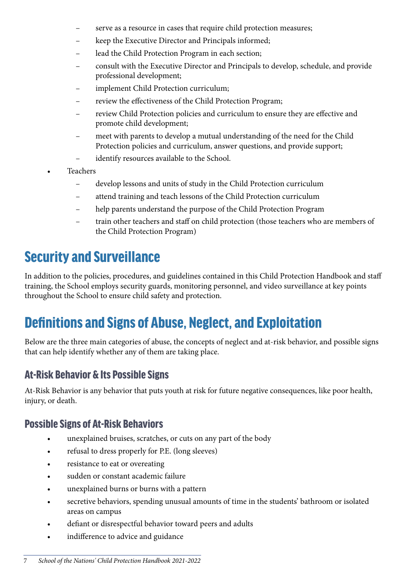- <span id="page-6-0"></span>serve as a resource in cases that require child protection measures;
- keep the Executive Director and Principals informed;
- lead the Child Protection Program in each section;
- consult with the Executive Director and Principals to develop, schedule, and provide professional development;
- implement Child Protection curriculum;
- review the effectiveness of the Child Protection Program;
- review Child Protection policies and curriculum to ensure they are effective and promote child development;
- meet with parents to develop a mutual understanding of the need for the Child Protection policies and curriculum, answer questions, and provide support;
- identify resources available to the School.
- **Teachers** 
	- develop lessons and units of study in the Child Protection curriculum
	- attend training and teach lessons of the Child Protection curriculum
	- help parents understand the purpose of the Child Protection Program
	- train other teachers and staff on child protection (those teachers who are members of the Child Protection Program)

### Security and Surveillance

In addition to the policies, procedures, and guidelines contained in this Child Protection Handbook and staff training, the School employs security guards, monitoring personnel, and video surveillance at key points throughout the School to ensure child safety and protection.

### Definitions and Signs of Abuse, Neglect, and Exploitation

Below are the three main categories of abuse, the concepts of neglect and at-risk behavior, and possible signs that can help identify whether any of them are taking place.

#### At-Risk Behavior & Its Possible Signs

At-Risk Behavior is any behavior that puts youth at risk for future negative consequences, like poor health, injury, or death.

#### Possible Signs of At-Risk Behaviors

- unexplained bruises, scratches, or cuts on any part of the body
- refusal to dress properly for P.E. (long sleeves)
- resistance to eat or overeating
- sudden or constant academic failure
- unexplained burns or burns with a pattern
- secretive behaviors, spending unusual amounts of time in the students' bathroom or isolated areas on campus
- defiant or disrespectful behavior toward peers and adults
- indifference to advice and guidance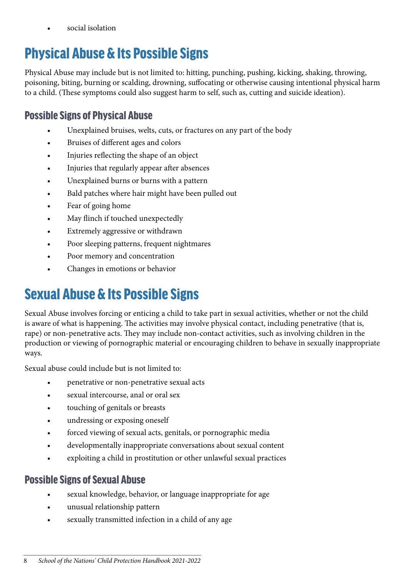social isolation

# <span id="page-7-0"></span>Physical Abuse & Its Possible Signs

Physical Abuse may include but is not limited to: hitting, punching, pushing, kicking, shaking, throwing, poisoning, biting, burning or scalding, drowning, suffocating or otherwise causing intentional physical harm to a child. (These symptoms could also suggest harm to self, such as, cutting and suicide ideation).

#### Possible Signs of Physical Abuse

- Unexplained bruises, welts, cuts, or fractures on any part of the body
- Bruises of different ages and colors
- Injuries reflecting the shape of an object
- Injuries that regularly appear after absences
- Unexplained burns or burns with a pattern
- Bald patches where hair might have been pulled out
- Fear of going home
- May flinch if touched unexpectedly
- Extremely aggressive or withdrawn
- Poor sleeping patterns, frequent nightmares
- Poor memory and concentration
- Changes in emotions or behavior

# Sexual Abuse & Its Possible Signs

Sexual Abuse involves forcing or enticing a child to take part in sexual activities, whether or not the child is aware of what is happening. The activities may involve physical contact, including penetrative (that is, rape) or non-penetrative acts. They may include non-contact activities, such as involving children in the production or viewing of pornographic material or encouraging children to behave in sexually inappropriate ways.

Sexual abuse could include but is not limited to:

- penetrative or non-penetrative sexual acts
- sexual intercourse, anal or oral sex
- touching of genitals or breasts
- undressing or exposing oneself
- forced viewing of sexual acts, genitals, or pornographic media
- developmentally inappropriate conversations about sexual content
- exploiting a child in prostitution or other unlawful sexual practices

#### Possible Signs of Sexual Abuse

- sexual knowledge, behavior, or language inappropriate for age
- unusual relationship pattern
- sexually transmitted infection in a child of any age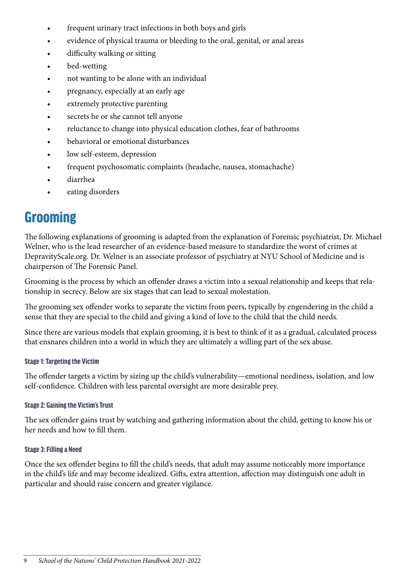- <span id="page-8-0"></span>frequent urinary tract infections in both boys and girls
- evidence of physical trauma or bleeding to the oral, genital, or anal areas
- difficulty walking or sitting
- bed-wetting
- not wanting to be alone with an individual
- pregnancy, especially at an early age
- extremely protective parenting
- secrets he or she cannot tell anyone
- reluctance to change into physical education clothes, fear of bathrooms
- behavioral or emotional disturbances
- low self-esteem, depression
- frequent psychosomatic complaints (headache, nausea, stomachache)
- diarrhea
- eating disorders

### **Grooming**

The following explanations of grooming is adapted from the explanation of Forensic psychiatrist, Dr. Michael Welner, who is the lead researcher of an evidence-based measure to standardize the worst of crimes at DepravityScale.org. Dr. Welner is an associate professor of psychiatry at NYU School of Medicine and is chairperson of The Forensic Panel.

Grooming is the process by which an offender draws a victim into a sexual relationship and keeps that relationship in secrecy. Below are six stages that can lead to sexual molestation.

The grooming sex offender works to separate the victim from peers, typically by engendering in the child a sense that they are special to the child and giving a kind of love to the child that the child needs.

Since there are various models that explain grooming, it is best to think of it as a gradual, calculated process that ensnares children into a world in which they are ultimately a willing part of the sex abuse.

#### Stage 1: Targeting the Victim

The offender targets a victim by sizing up the child's vulnerability—emotional neediness, isolation, and low self-confidence. Children with less parental oversight are more desirable prey.

#### Stage 2: Gaining the Victim's Trust

The sex offender gains trust by watching and gathering information about the child, getting to know his or her needs and how to fill them.

#### Stage 3: Filling a Need

Once the sex offender begins to fill the child's needs, that adult may assume noticeably more importance in the child's life and may become idealized. Gifts, extra attention, affection may distinguish one adult in particular and should raise concern and greater vigilance.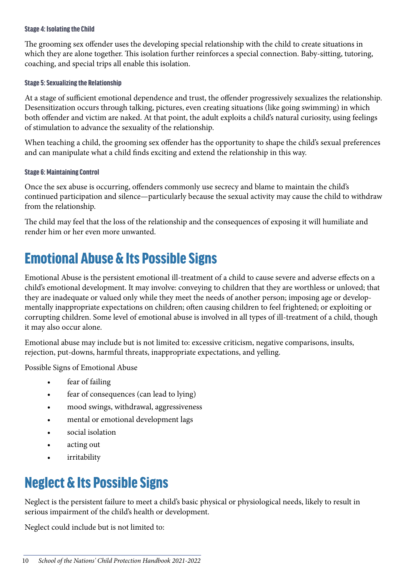#### <span id="page-9-0"></span>Stage 4: Isolating the Child

The grooming sex offender uses the developing special relationship with the child to create situations in which they are alone together. This isolation further reinforces a special connection. Baby-sitting, tutoring, coaching, and special trips all enable this isolation.

#### Stage 5: Sexualizing the Relationship

At a stage of sufficient emotional dependence and trust, the offender progressively sexualizes the relationship. Desensitization occurs through talking, pictures, even creating situations (like going swimming) in which both offender and victim are naked. At that point, the adult exploits a child's natural curiosity, using feelings of stimulation to advance the sexuality of the relationship.

When teaching a child, the grooming sex offender has the opportunity to shape the child's sexual preferences and can manipulate what a child finds exciting and extend the relationship in this way.

#### Stage 6: Maintaining Control

Once the sex abuse is occurring, offenders commonly use secrecy and blame to maintain the child's continued participation and silence—particularly because the sexual activity may cause the child to withdraw from the relationship.

The child may feel that the loss of the relationship and the consequences of exposing it will humiliate and render him or her even more unwanted.

### Emotional Abuse & Its Possible Signs

Emotional Abuse is the persistent emotional ill-treatment of a child to cause severe and adverse effects on a child's emotional development. It may involve: conveying to children that they are worthless or unloved; that they are inadequate or valued only while they meet the needs of another person; imposing age or developmentally inappropriate expectations on children; often causing children to feel frightened; or exploiting or corrupting children. Some level of emotional abuse is involved in all types of ill-treatment of a child, though it may also occur alone.

Emotional abuse may include but is not limited to: excessive criticism, negative comparisons, insults, rejection, put-downs, harmful threats, inappropriate expectations, and yelling.

Possible Signs of Emotional Abuse

- fear of failing
- fear of consequences (can lead to lying)
- mood swings, withdrawal, aggressiveness
- mental or emotional development lags
- social isolation
- acting out
- irritability

### Neglect & Its Possible Signs

Neglect is the persistent failure to meet a child's basic physical or physiological needs, likely to result in serious impairment of the child's health or development.

Neglect could include but is not limited to: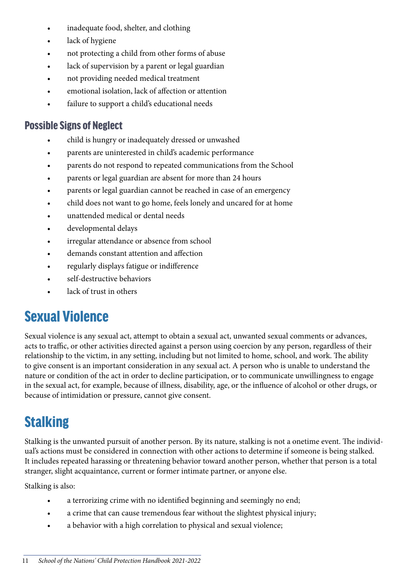- <span id="page-10-0"></span>inadequate food, shelter, and clothing
- lack of hygiene
- not protecting a child from other forms of abuse
- lack of supervision by a parent or legal guardian
- not providing needed medical treatment
- emotional isolation, lack of affection or attention
- failure to support a child's educational needs

#### Possible Signs of Neglect

- child is hungry or inadequately dressed or unwashed
- parents are uninterested in child's academic performance
- parents do not respond to repeated communications from the School
- parents or legal guardian are absent for more than 24 hours
- parents or legal guardian cannot be reached in case of an emergency
- child does not want to go home, feels lonely and uncared for at home
- unattended medical or dental needs
- developmental delays
- irregular attendance or absence from school
- demands constant attention and affection
- regularly displays fatigue or indifference
- self-destructive behaviors
- lack of trust in others

### Sexual Violence

Sexual violence is any sexual act, attempt to obtain a sexual act, unwanted sexual comments or advances, acts to traffic, or other activities directed against a person using coercion by any person, regardless of their relationship to the victim, in any setting, including but not limited to home, school, and work. The ability to give consent is an important consideration in any sexual act. A person who is unable to understand the nature or condition of the act in order to decline participation, or to communicate unwillingness to engage in the sexual act, for example, because of illness, disability, age, or the influence of alcohol or other drugs, or because of intimidation or pressure, cannot give consent.

# **Stalking**

Stalking is the unwanted pursuit of another person. By its nature, stalking is not a onetime event. The individual's actions must be considered in connection with other actions to determine if someone is being stalked. It includes repeated harassing or threatening behavior toward another person, whether that person is a total stranger, slight acquaintance, current or former intimate partner, or anyone else.

Stalking is also:

- a terrorizing crime with no identified beginning and seemingly no end;
- a crime that can cause tremendous fear without the slightest physical injury;
- a behavior with a high correlation to physical and sexual violence;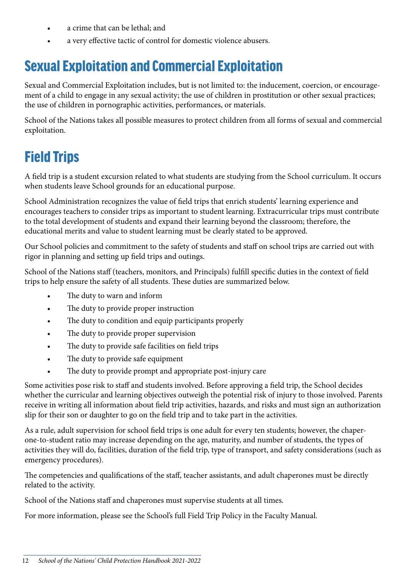- <span id="page-11-0"></span>• a crime that can be lethal; and
- a very effective tactic of control for domestic violence abusers.

### Sexual Exploitation and Commercial Exploitation

Sexual and Commercial Exploitation includes, but is not limited to: the inducement, coercion, or encouragement of a child to engage in any sexual activity; the use of children in prostitution or other sexual practices; the use of children in pornographic activities, performances, or materials.

School of the Nations takes all possible measures to protect children from all forms of sexual and commercial exploitation.

### Field Trips

A field trip is a student excursion related to what students are studying from the School curriculum. It occurs when students leave School grounds for an educational purpose.

School Administration recognizes the value of field trips that enrich students' learning experience and encourages teachers to consider trips as important to student learning. Extracurricular trips must contribute to the total development of students and expand their learning beyond the classroom; therefore, the educational merits and value to student learning must be clearly stated to be approved.

Our School policies and commitment to the safety of students and staff on school trips are carried out with rigor in planning and setting up field trips and outings.

School of the Nations staff (teachers, monitors, and Principals) fulfill specific duties in the context of field trips to help ensure the safety of all students. These duties are summarized below.

- The duty to warn and inform
- The duty to provide proper instruction
- The duty to condition and equip participants properly
- The duty to provide proper supervision
- The duty to provide safe facilities on field trips
- The duty to provide safe equipment
- The duty to provide prompt and appropriate post-injury care

Some activities pose risk to staff and students involved. Before approving a field trip, the School decides whether the curricular and learning objectives outweigh the potential risk of injury to those involved. Parents receive in writing all information about field trip activities, hazards, and risks and must sign an authorization slip for their son or daughter to go on the field trip and to take part in the activities.

As a rule, adult supervision for school field trips is one adult for every ten students; however, the chaperone-to-student ratio may increase depending on the age, maturity, and number of students, the types of activities they will do, facilities, duration of the field trip, type of transport, and safety considerations (such as emergency procedures).

The competencies and qualifications of the staff, teacher assistants, and adult chaperones must be directly related to the activity.

School of the Nations staff and chaperones must supervise students at all times.

For more information, please see the School's full Field Trip Policy in the Faculty Manual.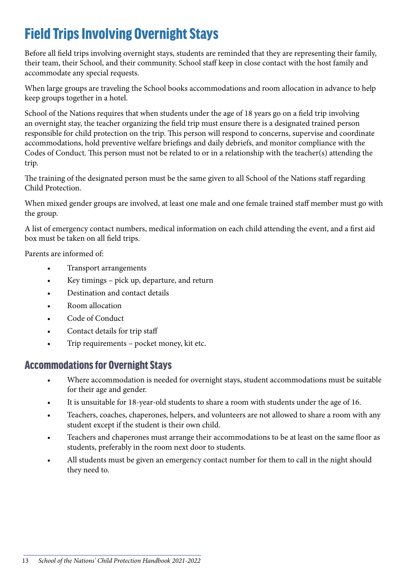### <span id="page-12-0"></span>Field Trips Involving Overnight Stays

Before all field trips involving overnight stays, students are reminded that they are representing their family, their team, their School, and their community. School staff keep in close contact with the host family and accommodate any special requests.

When large groups are traveling the School books accommodations and room allocation in advance to help keep groups together in a hotel.

School of the Nations requires that when students under the age of 18 years go on a field trip involving an overnight stay, the teacher organizing the field trip must ensure there is a designated trained person responsible for child protection on the trip. This person will respond to concerns, supervise and coordinate accommodations, hold preventive welfare briefings and daily debriefs, and monitor compliance with the Codes of Conduct. This person must not be related to or in a relationship with the teacher(s) attending the trip.

The training of the designated person must be the same given to all School of the Nations staff regarding Child Protection.

When mixed gender groups are involved, at least one male and one female trained staff member must go with the group.

A list of emergency contact numbers, medical information on each child attending the event, and a first aid box must be taken on all field trips.

Parents are informed of:

- Transport arrangements
- Key timings pick up, departure, and return
- Destination and contact details
- Room allocation
- Code of Conduct
- Contact details for trip staff
- Trip requirements pocket money, kit etc.

#### Accommodations for Overnight Stays

- Where accommodation is needed for overnight stays, student accommodations must be suitable for their age and gender.
- It is unsuitable for 18-year-old students to share a room with students under the age of 16.
- Teachers, coaches, chaperones, helpers, and volunteers are not allowed to share a room with any student except if the student is their own child.
- Teachers and chaperones must arrange their accommodations to be at least on the same floor as students, preferably in the room next door to students.
- All students must be given an emergency contact number for them to call in the night should they need to.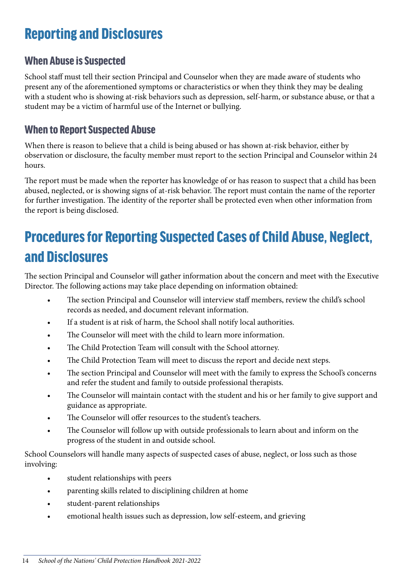### <span id="page-13-0"></span>Reporting and Disclosures

#### When Abuse is Suspected

School staff must tell their section Principal and Counselor when they are made aware of students who present any of the aforementioned symptoms or characteristics or when they think they may be dealing with a student who is showing at-risk behaviors such as depression, self-harm, or substance abuse, or that a student may be a victim of harmful use of the Internet or bullying.

#### When to Report Suspected Abuse

When there is reason to believe that a child is being abused or has shown at-risk behavior, either by observation or disclosure, the faculty member must report to the section Principal and Counselor within 24 hours.

The report must be made when the reporter has knowledge of or has reason to suspect that a child has been abused, neglected, or is showing signs of at-risk behavior. The report must contain the name of the reporter for further investigation. The identity of the reporter shall be protected even when other information from the report is being disclosed.

# Procedures for Reporting Suspected Cases of Child Abuse, Neglect, and Disclosures

The section Principal and Counselor will gather information about the concern and meet with the Executive Director. The following actions may take place depending on information obtained:

- The section Principal and Counselor will interview staff members, review the child's school records as needed, and document relevant information.
- If a student is at risk of harm, the School shall notify local authorities.
- The Counselor will meet with the child to learn more information.
- The Child Protection Team will consult with the School attorney.
- The Child Protection Team will meet to discuss the report and decide next steps.
- The section Principal and Counselor will meet with the family to express the School's concerns and refer the student and family to outside professional therapists.
- The Counselor will maintain contact with the student and his or her family to give support and guidance as appropriate.
- The Counselor will offer resources to the student's teachers.
- The Counselor will follow up with outside professionals to learn about and inform on the progress of the student in and outside school.

School Counselors will handle many aspects of suspected cases of abuse, neglect, or loss such as those involving:

- student relationships with peers
- parenting skills related to disciplining children at home
- student-parent relationships
- emotional health issues such as depression, low self-esteem, and grieving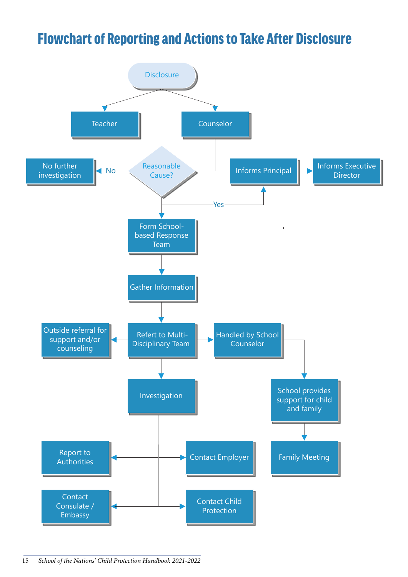### <span id="page-14-0"></span>Flowchart of Reporting and Actions to Take After Disclosure

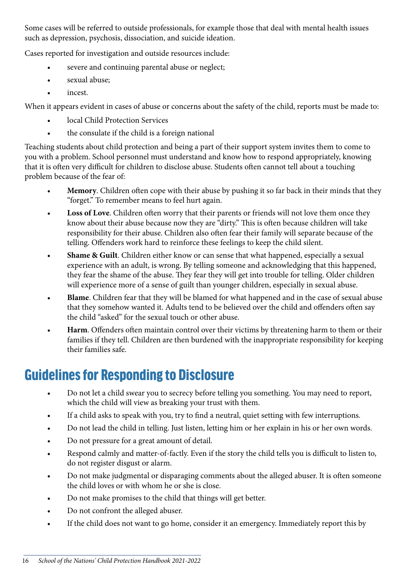<span id="page-15-0"></span>Some cases will be referred to outside professionals, for example those that deal with mental health issues such as depression, psychosis, dissociation, and suicide ideation.

Cases reported for investigation and outside resources include:

- severe and continuing parental abuse or neglect;
- sexual abuse;
- incest.

When it appears evident in cases of abuse or concerns about the safety of the child, reports must be made to:

- local Child Protection Services
- the consulate if the child is a foreign national

Teaching students about child protection and being a part of their support system invites them to come to you with a problem. School personnel must understand and know how to respond appropriately, knowing that it is often very difficult for children to disclose abuse. Students often cannot tell about a touching problem because of the fear of:

- **Memory**. Children often cope with their abuse by pushing it so far back in their minds that they "forget." To remember means to feel hurt again.
- **Loss of Love**. Children often worry that their parents or friends will not love them once they know about their abuse because now they are "dirty." This is often because children will take responsibility for their abuse. Children also often fear their family will separate because of the telling. Offenders work hard to reinforce these feelings to keep the child silent.
- **Shame & Guilt**. Children either know or can sense that what happened, especially a sexual experience with an adult, is wrong. By telling someone and acknowledging that this happened, they fear the shame of the abuse. They fear they will get into trouble for telling. Older children will experience more of a sense of guilt than younger children, especially in sexual abuse.
- **Blame**. Children fear that they will be blamed for what happened and in the case of sexual abuse that they somehow wanted it. Adults tend to be believed over the child and offenders often say the child "asked" for the sexual touch or other abuse.
- **Harm**. Offenders often maintain control over their victims by threatening harm to them or their families if they tell. Children are then burdened with the inappropriate responsibility for keeping their families safe.

### Guidelines for Responding to Disclosure

- Do not let a child swear you to secrecy before telling you something. You may need to report, which the child will view as breaking your trust with them.
- If a child asks to speak with you, try to find a neutral, quiet setting with few interruptions.
- Do not lead the child in telling. Just listen, letting him or her explain in his or her own words.
- Do not pressure for a great amount of detail.
- Respond calmly and matter-of-factly. Even if the story the child tells you is difficult to listen to, do not register disgust or alarm.
- Do not make judgmental or disparaging comments about the alleged abuser. It is often someone the child loves or with whom he or she is close.
- Do not make promises to the child that things will get better.
- Do not confront the alleged abuser.
- If the child does not want to go home, consider it an emergency. Immediately report this by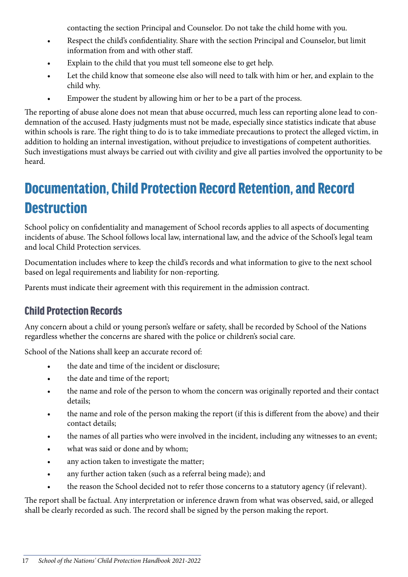contacting the section Principal and Counselor. Do not take the child home with you.

- <span id="page-16-0"></span>• Respect the child's confidentiality. Share with the section Principal and Counselor, but limit information from and with other staff.
- Explain to the child that you must tell someone else to get help.
- Let the child know that someone else also will need to talk with him or her, and explain to the child why.
- Empower the student by allowing him or her to be a part of the process.

The reporting of abuse alone does not mean that abuse occurred, much less can reporting alone lead to condemnation of the accused. Hasty judgments must not be made, especially since statistics indicate that abuse within schools is rare. The right thing to do is to take immediate precautions to protect the alleged victim, in addition to holding an internal investigation, without prejudice to investigations of competent authorities. Such investigations must always be carried out with civility and give all parties involved the opportunity to be heard.

# Documentation, Child Protection Record Retention, and Record **Destruction**

School policy on confidentiality and management of School records applies to all aspects of documenting incidents of abuse. The School follows local law, international law, and the advice of the School's legal team and local Child Protection services.

Documentation includes where to keep the child's records and what information to give to the next school based on legal requirements and liability for non-reporting.

Parents must indicate their agreement with this requirement in the admission contract.

#### Child Protection Records

Any concern about a child or young person's welfare or safety, shall be recorded by School of the Nations regardless whether the concerns are shared with the police or children's social care.

School of the Nations shall keep an accurate record of:

- the date and time of the incident or disclosure;
- the date and time of the report;
- the name and role of the person to whom the concern was originally reported and their contact details;
- the name and role of the person making the report (if this is different from the above) and their contact details;
- the names of all parties who were involved in the incident, including any witnesses to an event;
- what was said or done and by whom;
- any action taken to investigate the matter;
- any further action taken (such as a referral being made); and
- the reason the School decided not to refer those concerns to a statutory agency (if relevant).

The report shall be factual. Any interpretation or inference drawn from what was observed, said, or alleged shall be clearly recorded as such. The record shall be signed by the person making the report.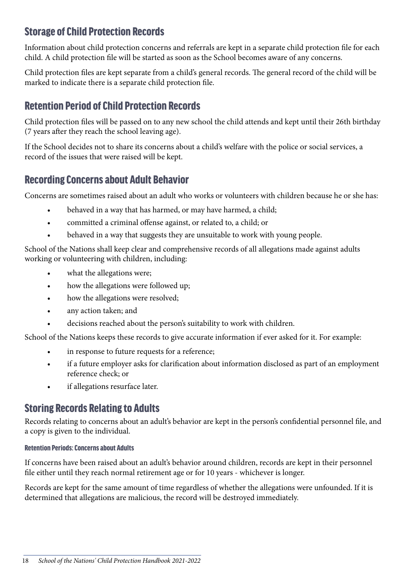#### <span id="page-17-0"></span>Storage of Child Protection Records

Information about child protection concerns and referrals are kept in a separate child protection file for each child. A child protection file will be started as soon as the School becomes aware of any concerns.

Child protection files are kept separate from a child's general records. The general record of the child will be marked to indicate there is a separate child protection file.

#### Retention Period of Child Protection Records

Child protection files will be passed on to any new school the child attends and kept until their 26th birthday (7 years after they reach the school leaving age).

If the School decides not to share its concerns about a child's welfare with the police or social services, a record of the issues that were raised will be kept.

#### Recording Concerns about Adult Behavior

Concerns are sometimes raised about an adult who works or volunteers with children because he or she has:

- behaved in a way that has harmed, or may have harmed, a child;
- committed a criminal offense against, or related to, a child; or
- behaved in a way that suggests they are unsuitable to work with young people.

School of the Nations shall keep clear and comprehensive records of all allegations made against adults working or volunteering with children, including:

- what the allegations were;
- how the allegations were followed up;
- how the allegations were resolved;
- any action taken; and
- decisions reached about the person's suitability to work with children.

School of the Nations keeps these records to give accurate information if ever asked for it. For example:

- in response to future requests for a reference;
- if a future employer asks for clarification about information disclosed as part of an employment reference check; or
- if allegations resurface later.

#### Storing Records Relating to Adults

Records relating to concerns about an adult's behavior are kept in the person's confidential personnel file, and a copy is given to the individual.

#### Retention Periods: Concerns about Adults

If concerns have been raised about an adult's behavior around children, records are kept in their personnel file either until they reach normal retirement age or for 10 years - whichever is longer.

Records are kept for the same amount of time regardless of whether the allegations were unfounded. If it is determined that allegations are malicious, the record will be destroyed immediately.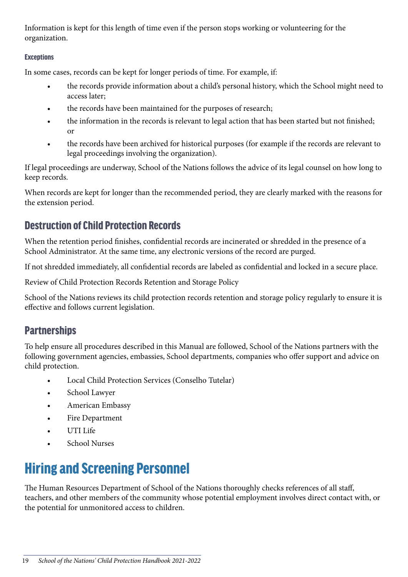<span id="page-18-0"></span>Information is kept for this length of time even if the person stops working or volunteering for the organization.

#### **Exceptions**

In some cases, records can be kept for longer periods of time. For example, if:

- the records provide information about a child's personal history, which the School might need to access later;
- the records have been maintained for the purposes of research;
- the information in the records is relevant to legal action that has been started but not finished; or
- the records have been archived for historical purposes (for example if the records are relevant to legal proceedings involving the organization).

If legal proceedings are underway, School of the Nations follows the advice of its legal counsel on how long to keep records.

When records are kept for longer than the recommended period, they are clearly marked with the reasons for the extension period.

#### Destruction of Child Protection Records

When the retention period finishes, confidential records are incinerated or shredded in the presence of a School Administrator. At the same time, any electronic versions of the record are purged.

If not shredded immediately, all confidential records are labeled as confidential and locked in a secure place.

Review of Child Protection Records Retention and Storage Policy

School of the Nations reviews its child protection records retention and storage policy regularly to ensure it is effective and follows current legislation.

#### **Partnerships**

To help ensure all procedures described in this Manual are followed, School of the Nations partners with the following government agencies, embassies, School departments, companies who offer support and advice on child protection.

- Local Child Protection Services (Conselho Tutelar)
- School Lawyer
- American Embassy
- Fire Department
- UTI Life
- School Nurses

# Hiring and Screening Personnel

The Human Resources Department of School of the Nations thoroughly checks references of all staff, teachers, and other members of the community whose potential employment involves direct contact with, or the potential for unmonitored access to children.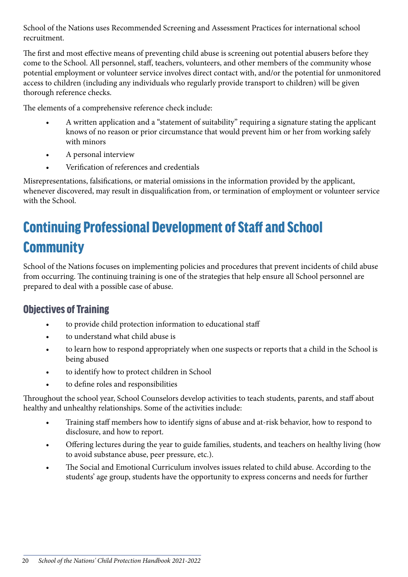<span id="page-19-0"></span>School of the Nations uses Recommended Screening and Assessment Practices for international school recruitment.

The first and most effective means of preventing child abuse is screening out potential abusers before they come to the School. All personnel, staff, teachers, volunteers, and other members of the community whose potential employment or volunteer service involves direct contact with, and/or the potential for unmonitored access to children (including any individuals who regularly provide transport to children) will be given thorough reference checks.

The elements of a comprehensive reference check include:

- A written application and a "statement of suitability" requiring a signature stating the applicant knows of no reason or prior circumstance that would prevent him or her from working safely with minors
- A personal interview
- Verification of references and credentials

Misrepresentations, falsifications, or material omissions in the information provided by the applicant, whenever discovered, may result in disqualification from, or termination of employment or volunteer service with the School.

# Continuing Professional Development of Staff and School **Community**

School of the Nations focuses on implementing policies and procedures that prevent incidents of child abuse from occurring. The continuing training is one of the strategies that help ensure all School personnel are prepared to deal with a possible case of abuse.

#### Objectives of Training

- to provide child protection information to educational staff
- to understand what child abuse is
- to learn how to respond appropriately when one suspects or reports that a child in the School is being abused
- to identify how to protect children in School
- to define roles and responsibilities

Throughout the school year, School Counselors develop activities to teach students, parents, and staff about healthy and unhealthy relationships. Some of the activities include:

- Training staff members how to identify signs of abuse and at-risk behavior, how to respond to disclosure, and how to report.
- Offering lectures during the year to guide families, students, and teachers on healthy living (how to avoid substance abuse, peer pressure, etc.).
- The Social and Emotional Curriculum involves issues related to child abuse. According to the students' age group, students have the opportunity to express concerns and needs for further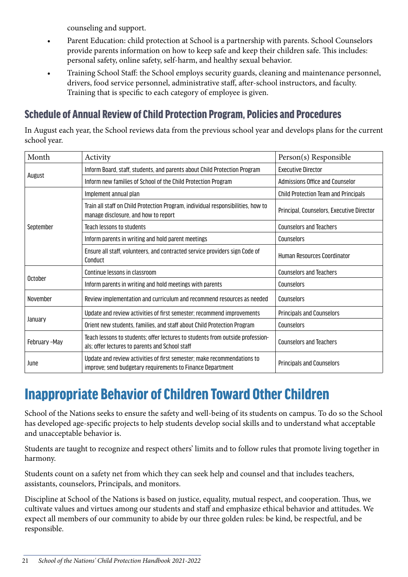counseling and support.

- <span id="page-20-0"></span>• Parent Education: child protection at School is a partnership with parents. School Counselors provide parents information on how to keep safe and keep their children safe. This includes: personal safety, online safety, self-harm, and healthy sexual behavior.
- Training School Staff: the School employs security guards, cleaning and maintenance personnel, drivers, food service personnel, administrative staff, after-school instructors, and faculty. Training that is specific to each category of employee is given.

#### Schedule of Annual Review of Child Protection Program, Policies and Procedures

In August each year, the School reviews data from the previous school year and develops plans for the current school year.

| Month         | Activity                                                                                                                              | Person(s) Responsible                     |
|---------------|---------------------------------------------------------------------------------------------------------------------------------------|-------------------------------------------|
| August        | Inform Board, staff, students, and parents about Child Protection Program                                                             | <b>Executive Director</b>                 |
|               | Inform new families of School of the Child Protection Program                                                                         | Admissions Office and Counselor           |
| September     | Implement annual plan                                                                                                                 | Child Protection Team and Principals      |
|               | Train all staff on Child Protection Program, individual responsibilities, how to<br>manage disclosure, and how to report              | Principal, Counselors, Executive Director |
|               | Teach lessons to students                                                                                                             | <b>Counselors and Teachers</b>            |
|               | Inform parents in writing and hold parent meetings                                                                                    | Counselors                                |
|               | Ensure all staff, volunteers, and contracted service providers sign Code of<br>Conduct                                                | <b>Human Resources Coordinator</b>        |
| October       | Continue lessons in classroom                                                                                                         | <b>Counselors and Teachers</b>            |
|               | Inform parents in writing and hold meetings with parents                                                                              | Counselors                                |
| November      | Review implementation and curriculum and recommend resources as needed                                                                | Counselors                                |
| January       | Update and review activities of first semester; recommend improvements                                                                | <b>Principals and Counselors</b>          |
|               | Orient new students, families, and staff about Child Protection Program                                                               | Counselors                                |
| February -May | Teach lessons to students; offer lectures to students from outside profession-<br>als; offer lectures to parents and School staff     | <b>Counselors and Teachers</b>            |
| June          | Update and review activities of first semester; make recommendations to<br>improve; send budgetary requirements to Finance Department | <b>Principals and Counselors</b>          |

### Inappropriate Behavior of Children Toward Other Children

School of the Nations seeks to ensure the safety and well-being of its students on campus. To do so the School has developed age-specific projects to help students develop social skills and to understand what acceptable and unacceptable behavior is.

Students are taught to recognize and respect others' limits and to follow rules that promote living together in harmony.

Students count on a safety net from which they can seek help and counsel and that includes teachers, assistants, counselors, Principals, and monitors.

Discipline at School of the Nations is based on justice, equality, mutual respect, and cooperation. Thus, we cultivate values and virtues among our students and staff and emphasize ethical behavior and attitudes. We expect all members of our community to abide by our three golden rules: be kind, be respectful, and be responsible.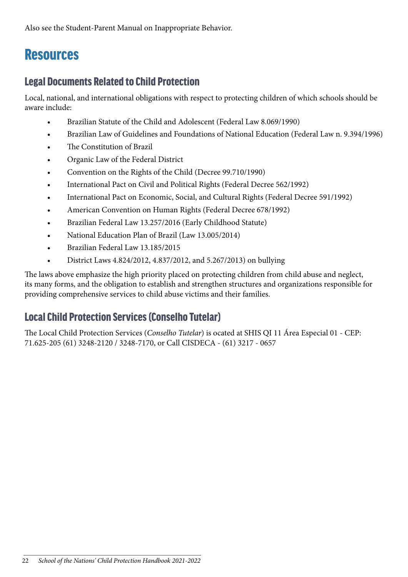<span id="page-21-0"></span>Also see the Student-Parent Manual on Inappropriate Behavior.

### **Resources**

#### Legal Documents Related to Child Protection

Local, national, and international obligations with respect to protecting children of which schools should be aware include:

- Brazilian Statute of the Child and Adolescent (Federal Law 8.069/1990)
- Brazilian Law of Guidelines and Foundations of National Education (Federal Law n. 9.394/1996)
- The Constitution of Brazil
- Organic Law of the Federal District
- Convention on the Rights of the Child (Decree 99.710/1990)
- International Pact on Civil and Political Rights (Federal Decree 562/1992)
- International Pact on Economic, Social, and Cultural Rights (Federal Decree 591/1992)
- American Convention on Human Rights (Federal Decree 678/1992)
- Brazilian Federal Law 13.257/2016 (Early Childhood Statute)
- National Education Plan of Brazil (Law 13.005/2014)
- Brazilian Federal Law 13.185/2015
- District Laws 4.824/2012, 4.837/2012, and 5.267/2013) on bullying

The laws above emphasize the high priority placed on protecting children from child abuse and neglect, its many forms, and the obligation to establish and strengthen structures and organizations responsible for providing comprehensive services to child abuse victims and their families.

#### Local Child Protection Services (Conselho Tutelar)

The Local Child Protection Services (*Conselho Tutelar*) is ocated at SHIS QI 11 Área Especial 01 - CEP: 71.625-205 (61) 3248-2120 / 3248-7170, or Call CISDECA - (61) 3217 - 0657